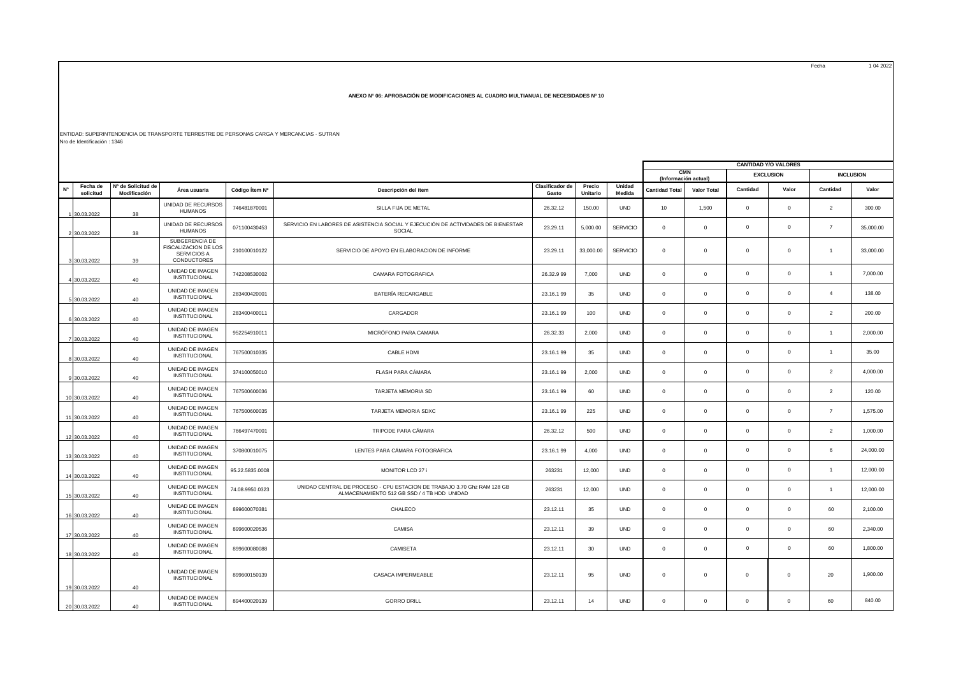Fecha 1 04 2022

## **ANEXO N° 06: APROBACIÓN DE MODIFICACIONES AL CUADRO MULTIANUAL DE NECESIDADES Nº 10**

ENTIDAD: SUPERINTENDENCIA DE TRANSPORTE TERRESTRE DE PERSONAS CARGA Y MERCANCIAS - SUTRAN Nro de Identificación : 1346

|             | <b>CANTIDAD Y/O VALORES</b> |                                    |                                                                      |                 |                                                                                                                        |                          |                    |                  |                                    |                    |                |                  |                |                  |
|-------------|-----------------------------|------------------------------------|----------------------------------------------------------------------|-----------------|------------------------------------------------------------------------------------------------------------------------|--------------------------|--------------------|------------------|------------------------------------|--------------------|----------------|------------------|----------------|------------------|
|             |                             |                                    |                                                                      |                 |                                                                                                                        |                          |                    |                  |                                    |                    |                |                  |                |                  |
|             |                             |                                    |                                                                      |                 |                                                                                                                        |                          |                    |                  | <b>CMN</b><br>(Información actual) |                    |                | <b>EXCLUSION</b> |                | <b>INCLUSION</b> |
| $N^{\circ}$ | Fecha de<br>solicitud       | Nº de Solicitud de<br>Modificación | Área usuaria                                                         | Código Ítem Nº  | Descripción del ítem                                                                                                   | Clasificador de<br>Gasto | Precio<br>Unitario | Unidad<br>Medida | <b>Cantidad Total</b>              | <b>Valor Total</b> | Cantidad       | Valor            | Cantidad       | Valor            |
|             | 30.03.2022                  | 38                                 | UNIDAD DE RECURSOS<br><b>HUMANOS</b>                                 | 746481870001    | SILLA FIJA DE METAL                                                                                                    | 26.32.12                 | 150.00             | <b>UND</b>       | 10                                 | 1,500              | $^{\circ}$     | $\mathbf 0$      | $\overline{2}$ | 300.00           |
|             | 2 30.03.2022                | 38                                 | UNIDAD DE RECURSOS<br><b>HUMANOS</b>                                 | 071100430453    | SERVICIO EN LABORES DE ASISTENCIA SOCIAL Y EJECUCIÓN DE ACTIVIDADES DE BIENESTAR<br>SOCIAL                             | 23.29.11                 | 5,000.00           | <b>SERVICIO</b>  | $\Omega$                           | $\mathbf{0}$       | $\Omega$       | $\Omega$         | $\overline{7}$ | 35,000.00        |
|             | 3 30.03.2022                | 39                                 | SUBGERENCIA DE<br>FISCALIZACION DE LOS<br>SERVICIOS A<br>CONDUCTORES | 210100010122    | SERVICIO DE APOYO EN ELABORACION DE INFORME                                                                            | 23.29.11                 | 33,000.00          | <b>SERVICIO</b>  | $\mathbf 0$                        | $\mathbf{0}$       | $^{\circ}$     | $\mathbf 0$      | $\mathbf{1}$   | 33,000.00        |
|             | 4 30.03.2022                | 40                                 | UNIDAD DE IMAGEN<br><b>INSTITUCIONAL</b>                             | 742208530002    | CAMARA FOTOGRAFICA                                                                                                     | 26.32.999                | 7.000              | <b>UND</b>       | $\circ$                            | $\mathbf{0}$       | $^{\circ}$     | $\mathbf{0}$     | $\mathbf{1}$   | 7,000.00         |
|             | 5 30.03.2022                | 40                                 | UNIDAD DE IMAGEN<br>INSTITUCIONAL                                    | 283400420001    | BATERÍA RECARGABLE                                                                                                     | 23.16.199                | 35                 | <b>UND</b>       | $\Omega$                           | $\Omega$           | $^{\circ}$     | $^{\circ}$       | $\overline{4}$ | 138.00           |
|             | 6 30.03.2022                | 40                                 | UNIDAD DE IMAGEN<br><b>INSTITUCIONAL</b>                             | 283400400011    | CARGADOR                                                                                                               | 23,16,199                | 100                | <b>UND</b>       | $\mathbf 0$                        | $^{\circ}$         | $^{\circ}$     | $^{\circ}$       | $\overline{2}$ | 200.00           |
|             | 7 30.03.2022                | 40                                 | UNIDAD DE IMAGEN<br><b>INSTITUCIONAL</b>                             | 952254910011    | MICRÓFONO PARA CAMARA                                                                                                  | 26.32.33                 | 2,000              | <b>UND</b>       | $\mathbf 0$                        | $\mathbf 0$        | $^{\circ}$     | $\mathbf 0$      | $\mathbf{1}$   | 2,000.00         |
|             | 8 30.03.2022                | 40                                 | UNIDAD DE IMAGEN<br>INSTITUCIONAL                                    | 767500010335    | CABLE HDMI                                                                                                             | 23.16.199                | 35                 | <b>UND</b>       | $\mathbf{0}$                       | $\mathbf{0}$       | $^{\circ}$     | $\mathbf 0$      | $\mathbf{1}$   | 35.00            |
|             | 9 30.03.2022                | 40                                 | UNIDAD DE IMAGEN<br>INSTITUCIONAL                                    | 374100050010    | FLASH PARA CÁMARA                                                                                                      | 23.16.199                | 2,000              | <b>UND</b>       | $\mathbf 0$                        | $\mathbf 0$        | $\Omega$       | $\mathbf 0$      | 2              | 4,000.00         |
|             | 10 30.03.2022               | 40                                 | UNIDAD DE IMAGEN<br>INSTITUCIONAL                                    | 767500600036    | TARJETA MEMORIA SD                                                                                                     | 23.16.199                | 60                 | <b>UND</b>       | $\mathsf 0$                        | $\mathbf{0}$       | $^{\circ}$     | $^{\circ}$       | $\overline{2}$ | 120.00           |
|             | 11 30.03.2022               | 40                                 | UNIDAD DE IMAGEN<br>INSTITUCIONAL                                    | 767500600035    | TARJETA MEMORIA SDXC                                                                                                   | 23.16.199                | 225                | <b>UND</b>       | $\mathbf 0$                        | $\mathbf{0}$       | $\Omega$       | $\mathbf 0$      | $\overline{7}$ | 1,575.00         |
|             | 12 30.03.2022               | 40                                 | UNIDAD DE IMAGEN<br>INSTITUCIONAL                                    | 766497470001    | TRIPODE PARA CÁMARA                                                                                                    | 26.32.12                 | 500                | <b>UND</b>       | $\mathbf 0$                        | $\mathbf 0$        | $\Omega$       | $\mathbf 0$      | $\overline{2}$ | 1,000.00         |
|             | 13 30.03.2022               | 40                                 | UNIDAD DE IMAGEN<br>INSTITUCIONAL                                    | 370800010075    | LENTES PARA CÁMARA FOTOGRÁFICA                                                                                         | 23.16.199                | 4,000              | <b>UND</b>       | $\mathbf 0$                        | $\mathbf{0}$       | $\Omega$       | $\mathbf{0}$     | 6              | 24,000.00        |
|             | 14 30.03.2022               | 40                                 | UNIDAD DE IMAGEN<br>INSTITUCIONAL                                    | 95.22.5835.0008 | MONITOR LCD 27 i                                                                                                       | 263231                   | 12,000             | <b>UND</b>       | $\mathbf 0$                        | $\Omega$           | $^{\circ}$     | $\mathbf 0$      | $\mathbf{1}$   | 12,000.00        |
|             | 15 30.03.2022               | 40                                 | UNIDAD DE IMAGEN<br><b>INSTITUCIONAL</b>                             | 74.08.9950.0323 | UNIDAD CENTRAL DE PROCESO - CPU ESTACION DE TRABAJO 3.70 Ghz RAM 128 GB<br>ALMACENAMIENTO 512 GB SSD / 4 TB HDD UNIDAD | 263231                   | 12.000             | <b>UND</b>       | $\Omega$                           | $\mathbf{0}$       | $^{\circ}$     | $^{\circ}$       | $\mathbf{1}$   | 12,000.00        |
|             | 16 30.03.2022               | 40                                 | UNIDAD DE IMAGEN<br>INSTITUCIONAL                                    | 899600070381    | CHALECO                                                                                                                | 23.12.11                 | 35                 | <b>UND</b>       | $\mathbf 0$                        | $\mathbf{0}$       | $^{\circ}$     | $\mathbf 0$      | 60             | 2,100.00         |
|             | 17 30.03.2022               | 40                                 | UNIDAD DE IMAGEN<br><b>INSTITUCIONAL</b>                             | 899600020536    | CAMISA                                                                                                                 | 23.12.11                 | 39                 | <b>UND</b>       | $\mathbf 0$                        | $\mathbf{0}$       | $^{\circ}$     | $\mathbf 0$      | 60             | 2,340.00         |
|             | 18 30.03.2022               | 40                                 | UNIDAD DE IMAGEN<br>INSTITUCIONAL                                    | 899600080088    | CAMISETA                                                                                                               | 23.12.11                 | 30                 | <b>UND</b>       | $\mathbf 0$                        | $\mathbf 0$        | $\Omega$       | $\mathbf 0$      | 60             | 1,800.00         |
|             | 19 30.03.2022               | 40                                 | UNIDAD DE IMAGEN<br>INSTITUCIONAL                                    | 899600150139    | CASACA IMPERMEABLE                                                                                                     | 23.12.11                 | 95                 | <b>UND</b>       | $\mathbf 0$                        | $\mathbf{0}$       | $\overline{0}$ | $\mathbf 0$      | 20             | 1,900.00         |
|             | 20 30.03.2022               | 40                                 | UNIDAD DE IMAGEN<br>INSTITUCIONAL                                    | 894400020139    | <b>GORRO DRILL</b>                                                                                                     | 23.12.11                 | 14                 | <b>UND</b>       | $\mathbf 0$                        | $^{\circ}$         | $\mathbf 0$    | $\mathbf 0$      | 60             | 840.00           |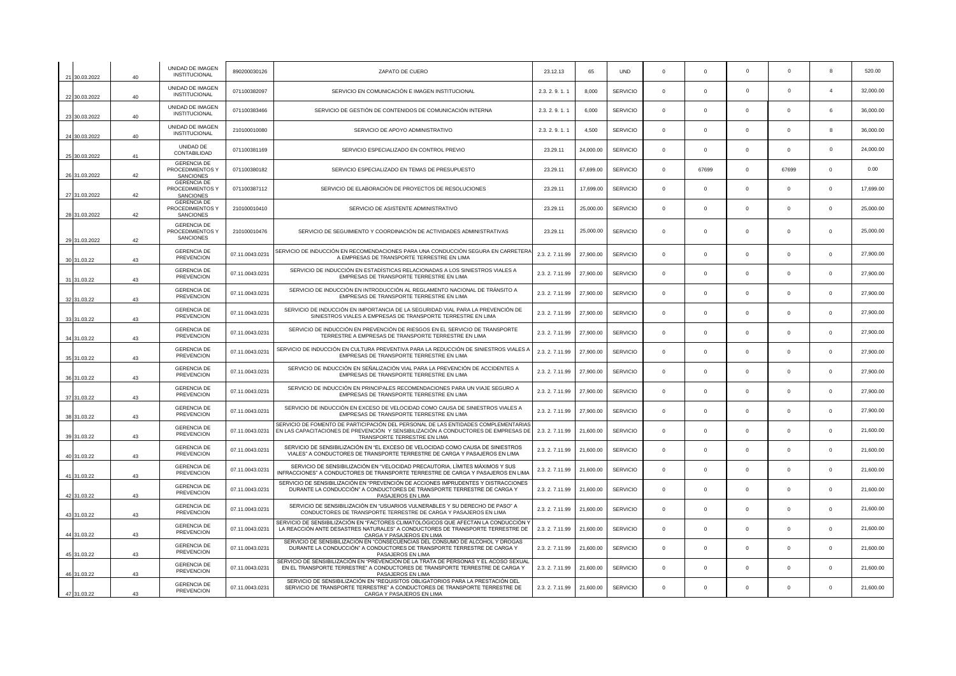| 21 30 03 2022 | 40 | UNIDAD DE IMAGEN<br>INSTITUCIONAL                          | 890200030126    | ZAPATO DE CUERO                                                                                                                                                                                          | 23.12.13        | 65        | <b>UND</b>      | $^{\circ}$   | $\mathbf 0$ | $\Omega$    | $\Omega$     | 8            | 520.00    |
|---------------|----|------------------------------------------------------------|-----------------|----------------------------------------------------------------------------------------------------------------------------------------------------------------------------------------------------------|-----------------|-----------|-----------------|--------------|-------------|-------------|--------------|--------------|-----------|
| 22 30.03.2022 | 40 | UNIDAD DE IMAGEN<br>INSTITUCIONAL                          | 071100382097    | SERVICIO EN COMUNICACIÓN E IMAGEN INSTITUCIONAL                                                                                                                                                          | 2.3.2.9.1.1     | 8.000     | SERVICIO        | $^{\circ}$   | $\Omega$    | $\Omega$    | $\Omega$     | $\Delta$     | 32,000.00 |
| 23 30.03.2022 | 40 | UNIDAD DE IMAGEN<br><b>INSTITUCIONAL</b>                   | 071100383466    | SERVICIO DE GESTIÓN DE CONTENIDOS DE COMUNICACIÓN INTERNA                                                                                                                                                | 2.3.2.9.1.1     | 6.000     | <b>SERVICIO</b> | $\Omega$     | $\Omega$    | $\Omega$    | $\Omega$     | 6            | 36,000.00 |
| 24 30.03.2022 | 40 | UNIDAD DE IMAGEN<br><b>INSTITUCIONAL</b>                   | 210100010080    | SERVICIO DE APOYO ADMINISTRATIVO                                                                                                                                                                         | 2.3.2.9.1.1     | 4,500     | <b>SERVICIO</b> | $\Omega$     | $\mathbf 0$ | $\Omega$    | $\Omega$     | $\mathbf{g}$ | 36,000.00 |
| 25 30.03.2022 | 41 | UNIDAD DE<br>CONTABILIDAD                                  | 071100381169    | SERVICIO ESPECIALIZADO EN CONTROL PREVIO                                                                                                                                                                 | 23.29.11        | 24,000.00 | <b>SERVICIO</b> | $\Omega$     | $\Omega$    | $\Omega$    | $\Omega$     | $\Omega$     | 24,000.00 |
| 26 31.03.2022 | 42 | <b>GERENCIA DE</b><br>PROCEDIMIENTOS Y<br><b>SANCIONES</b> | 071100380182    | SERVICIO ESPECIALIZADO EN TEMAS DE PRESUPUESTO                                                                                                                                                           | 23.29.11        | 67,699.00 | <b>SERVICIO</b> | $\Omega$     | 67699       | $\Omega$    | 67699        | $\Omega$     | 0.00      |
| 27 31.03.2022 | 42 | <b>GERENCIA DE</b><br>PROCEDIMIENTOS Y<br><b>SANCIONES</b> | 071100387112    | SERVICIO DE ELABORACIÓN DE PROYECTOS DE RESOLUCIONES                                                                                                                                                     | 23.29.11        | 17,699.00 | <b>SERVICIO</b> | $\Omega$     | $\Omega$    | $\Omega$    | $\Omega$     | $\Omega$     | 17,699.00 |
| 28 31.03.2022 | 42 | <b>GERENCIA DE</b><br>PROCEDIMIENTOS Y<br><b>SANCIONES</b> | 210100010410    | SERVICIO DE ASISTENTE ADMINISTRATIVO                                                                                                                                                                     | 23.29.11        | 25,000.00 | <b>SERVICIO</b> | $\Omega$     | $\Omega$    | $\Omega$    | $\Omega$     | $\Omega$     | 25,000.00 |
| 29 31.03.2022 | 42 | <b>GERENCIA DE</b><br>PROCEDIMIENTOS Y<br><b>SANCIONES</b> | 210100010476    | SERVICIO DE SEGUIMIENTO Y COORDINACIÓN DE ACTIVIDADES ADMINISTRATIVAS                                                                                                                                    | 23.29.11        | 25,000.00 | <b>SERVICIO</b> | $^{\circ}$   | $\mathbf 0$ | $\mathbf 0$ | $\mathbf 0$  | $^{\circ}$   | 25,000.00 |
| 30 31.03.22   | 43 | <b>GERENCIA DE</b><br><b>PREVENCION</b>                    | 07.11.0043.0231 | SERVICIO DE INDUCCIÓN EN RECOMENDACIONES PARA UNA CONDUCCIÓN SEGURA EN CARRETERA<br>A EMPRESAS DE TRANSPORTE TERRESTRE EN LIMA                                                                           | 2.3.2.7.11.99   | 27,900.00 | <b>SERVICIO</b> | $\Omega$     | $\Omega$    | $\Omega$    | $\Omega$     | $\Omega$     | 27,900.00 |
| 31 31 03 22   | 43 | <b>GERENCIA DE</b><br><b>PREVENCION</b>                    | 07.11.0043.0231 | SERVICIO DE INDUCCIÓN EN ESTADÍSTICAS RELACIONADAS A LOS SINIESTROS VIALES A<br>EMPRESAS DE TRANSPORTE TERRESTRE EN LIMA                                                                                 | 2.3.2.7.11.99   | 27,900.00 | <b>SERVICIO</b> | $\Omega$     | $\Omega$    | $\Omega$    | $\Omega$     | $\Omega$     | 27,900.00 |
| 32 31.03.22   | 43 | <b>GERENCIA DE</b><br><b>PREVENCION</b>                    | 07.11.0043.0231 | SERVICIO DE INDUCCIÓN EN INTRODUCCIÓN AL REGLAMENTO NACIONAL DE TRÁNSITO A<br>EMPRESAS DE TRANSPORTE TERRESTRE EN LIMA                                                                                   | 2.3.2.7.11.99   | 27,900.00 | <b>SERVICIO</b> | $\Omega$     | $\Omega$    | $\Omega$    | $\Omega$     | $\Omega$     | 27,900.00 |
| 33 31.03.22   | 43 | <b>GERENCIA DE</b><br>PREVENCION                           | 07.11.0043.0231 | SERVICIO DE INDUCCIÓN EN IMPORTANCIA DE LA SEGURIDAD VIAL PARA LA PREVENCIÓN DE<br>SINIESTROS VIALES A EMPRESAS DE TRANSPORTE TERRESTRE EN LIMA                                                          | 2.3.2.7.11.99   | 27,900.00 | <b>SERVICIO</b> | $\Omega$     | $\Omega$    | $\Omega$    | $\Omega$     | $\Omega$     | 27,900.00 |
| 34 31.03.22   | 43 | <b>GERENCIA DE</b><br><b>PREVENCION</b>                    | 07.11.0043.0231 | SERVICIO DE INDUCCIÓN EN PREVENCIÓN DE RIESGOS EN EL SERVICIO DE TRANSPORTE<br>TERRESTRE A EMPRESAS DE TRANSPORTE TERRESTRE EN LIMA                                                                      | 2.3.2.7.11.99   | 27,900.00 | SERVICIO        | $^{\circ}$   | $\mathbf 0$ | $\mathbf 0$ | $\mathbf 0$  | $\mathbf 0$  | 27,900.00 |
| 35 31.03.22   | 43 | <b>GERENCIA DE</b><br><b>PREVENCION</b>                    | 07.11.0043.0231 | SERVICIO DE INDUCCIÓN EN CULTURA PREVENTIVA PARA LA REDUCCIÓN DE SINIESTROS VIALES A<br>EMPRESAS DE TRANSPORTE TERRESTRE EN LIMA                                                                         | 2.3.2.7.11.99   | 27,900.00 | <b>SERVICIO</b> | $^{\circ}$   | $\mathbf 0$ | $\mathbf 0$ | $\mathbf 0$  | $^{\circ}$   | 27,900.00 |
| 36 31.03.22   | 43 | <b>GERENCIA DE</b><br><b>PREVENCION</b>                    | 07.11.0043.023  | SERVICIO DE INDUCCIÓN EN SEÑALIZACIÓN VIAL PARA LA PREVENCIÓN DE ACCIDENTES A<br>EMPRESAS DE TRANSPORTE TERRESTRE EN LIMA                                                                                | 2.3.2.7.11.99   | 27,900.00 | <b>SERVICIO</b> | $^{\circ}$   | $\mathbf 0$ | $\mathbf 0$ | $\mathbf{0}$ | $^{\circ}$   | 27,900.00 |
| 37 31.03.22   | 43 | <b>GERENCIA DE</b><br><b>PREVENCION</b>                    | 07.11.0043.023  | SERVICIO DE INDUCCIÓN EN PRINCIPALES RECOMENDACIONES PARA UN VIAJE SEGURO A<br>EMPRESAS DE TRANSPORTE TERRESTRE EN LIMA                                                                                  | 2.3.2.7.11.99   | 27,900.00 | <b>SERVICIO</b> | $\mathbf{0}$ | $^{\circ}$  | $\Omega$    | $\mathbf 0$  | $\mathbf 0$  | 27,900.00 |
| 38 31.03.22   | 43 | <b>GERENCIA DE</b><br><b>PREVENCION</b>                    | 07.11.0043.0231 | SERVICIO DE INDUCCIÓN EN EXCESO DE VELOCIDAD COMO CAUSA DE SINIESTROS VIALES A<br>EMPRESAS DE TRANSPORTE TERRESTRE EN LIMA                                                                               | 2.3.2.7.11.99   | 27,900.00 | <b>SERVICIO</b> | $\Omega$     | $\Omega$    | $\Omega$    | $\Omega$     | $\Omega$     | 27,900.00 |
| 39 31.03.22   | 43 | <b>GERENCIA DE</b><br><b>PREVENCION</b>                    | 07.11.0043.0231 | SERVICIO DE FOMENTO DE PARTICIPACIÓN DEL PERSONAL DE LAS ENTIDADES COMPLEMENTARIAS<br>EN LAS CAPACITACIONES DE PREVENCIÓN Y SENSIBILIZACIÓN A CONDUCTORES DE EMPRESAS DE<br>TRANSPORTE TERRESTRE EN LIMA | 2.3.2.7.11.99   | 21,600.00 | SERVICIO        | $^{\circ}$   | $\mathbf 0$ | $\mathbf 0$ | $\mathbf 0$  | $^{\circ}$   | 21,600.00 |
| 40 31.03.22   | 43 | <b>GERENCIA DE</b><br><b>PREVENCION</b>                    | 07.11.0043.0231 | SERVICIO DE SENSIBILIZACIÓN EN "EL EXCESO DE VELOCIDAD COMO CAUSA DE SINIESTROS<br>VIALES" A CONDUCTORES DE TRANSPORTE TERRESTRE DE CARGA Y PASAJEROS EN LIMA                                            | 2.3.2.7.11.99   | 21,600.00 | <b>SERVICIO</b> | $\Omega$     | $\Omega$    | $\Omega$    | $\Omega$     | $\Omega$     | 21,600.00 |
| 41 31.03.22   | 43 | <b>GERENCIA DE</b><br><b>PREVENCION</b>                    | 07.11.0043.0231 | SERVICIO DE SENSIBILIZACIÓN EN "VELOCIDAD PRECAUTORIA, LÍMITES MÁXIMOS Y SUS<br>INFRACCIONES" A CONDUCTORES DE TRANSPORTE TERRESTRE DE CARGA Y PASAJEROS EN LIMA                                         | 2.3.2.7.11.99   | 21,600.00 | <b>SERVICIO</b> | $\Omega$     | $\Omega$    | $\Omega$    | $\Omega$     | $\Omega$     | 21,600.00 |
| 42 31.03.22   | 43 | <b>GERENCIA DE</b><br><b>PREVENCION</b>                    | 07.11.0043.0231 | SERVICIO DE SENSIBILIZACIÓN EN "PREVENCIÓN DE ACCIONES IMPRUDENTES Y DISTRACCIONES<br>DURANTE LA CONDUCCIÓN" A CONDUCTORES DE TRANSPORTE TERRESTRE DE CARGA Y<br>PASAJEROS EN LIMA                       | 2.3.2.7.11.99   | 21,600.00 | <b>SERVICIO</b> | $\Omega$     | $\Omega$    | $\Omega$    | $\Omega$     | $\Omega$     | 21,600.00 |
| 43 31.03.22   | 43 | <b>GERENCIA DE</b><br><b>PREVENCION</b>                    | 07.11.0043.0231 | SERVICIO DE SENSIBILIZACIÓN EN "USUARIOS VULNERABLES Y SU DERECHO DE PASO" A<br>CONDUCTORES DE TRANSPORTE TERRESTRE DE CARGA Y PASAJEROS EN LIMA                                                         | 2.3. 2. 7.11.99 | 21,600.00 | <b>SERVICIO</b> | $\mathbf 0$  | $\mathbf 0$ | $\mathbf 0$ | $\mathbf 0$  | $\mathbf 0$  | 21,600.00 |
| 44 31.03.22   | 43 | <b>GERENCIA DE</b><br><b>PREVENCION</b>                    | 07.11.0043.0231 | SERVICIO DE SENSIBILIZACIÓN EN "FACTORES CLIMATOLÓGICOS QUE AFECTAN LA CONDUCCIÓN Y<br>LA REACCIÓN ANTE DESASTRES NATURALES" A CONDUCTORES DE TRANSPORTE TERRESTRE DE<br>CARGA Y PASAJEROS EN LIMA       | 2.3.2.7.11.99   | 21,600.00 | <b>SERVICIO</b> | $\Omega$     | $\Omega$    | $\Omega$    | $\Omega$     | $\Omega$     | 21,600.00 |
| 45 31.03.22   | 43 | <b>GERENCIA DE</b><br><b>PREVENCION</b>                    | 07.11.0043.0231 | SERVICIO DE SENSIBILIZACIÓN EN "CONSECUENCIAS DEL CONSUMO DE ALCOHOL Y DROGAS<br>DURANTE LA CONDUCCIÓN" A CONDUCTORES DE TRANSPORTE TERRESTRE DE CARGA Y<br>PASAJEROS EN LIMA                            | 2.3.2.7.11.99   | 21,600.00 | <b>SERVICIO</b> | $\Omega$     | $\Omega$    | $\Omega$    | $\Omega$     | $\Omega$     | 21.600.00 |
| 46 31.03.22   | 43 | <b>GERENCIA DE</b><br><b>PREVENCION</b>                    | 07.11.0043.0231 | SERVICIO DE SENSIBILIZACIÓN EN "PREVENCIÓN DE LA TRATA DE PERSONAS Y EL ACOSO SEXUAL<br>EN EL TRANSPORTE TERRESTRE" A CONDUCTORES DE TRANSPORTE TERRESTRE DE CARGA Y<br>PASAJEROS EN LIMA                | 2.3.2.7.11.99   | 21,600.00 | <b>SERVICIO</b> | $\Omega$     | $\Omega$    | $\Omega$    | $\mathbf 0$  | $\mathbf 0$  | 21,600.00 |
| 47 31.03.22   | 43 | <b>GERENCIA DE</b><br><b>PREVENCION</b>                    | 07.11.0043.0231 | SERVICIO DE SENSIBILIZACIÓN EN "REQUISITOS OBLIGATORIOS PARA LA PRESTACIÓN DEL<br>SERVICIO DE TRANSPORTE TERRESTRE" A CONDUCTORES DE TRANSPORTE TERRESTRE DE<br>CARGA Y PASAJEROS EN LIMA                | 2.3.2.7.11.99   | 21.600.00 | <b>SERVICIO</b> | $\Omega$     | $\Omega$    | $\Omega$    | $\Omega$     | $\Omega$     | 21,600.00 |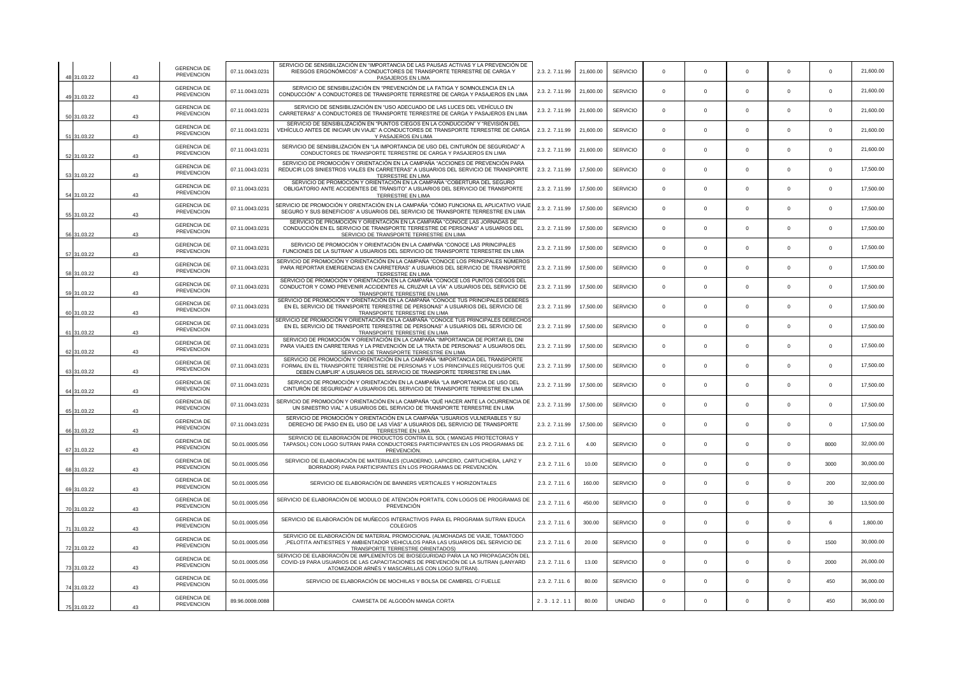| 48 31.03.22 | 43 | <b>GERENCIA DE</b><br><b>PREVENCION</b> | 07.11.0043.0231 | SERVICIO DE SENSIBILIZACIÓN EN "IMPORTANCIA DE LAS PAUSAS ACTIVAS Y LA PREVENCIÓN DE<br>RIESGOS ERGONÓMICOS" A CONDUCTORES DE TRANSPORTE TERRESTRE DE CARGA Y<br>PASAJEROS EN LIMA                                                        | 2.3.2.7.11.99   | 21,600.00 | <b>SERVICIO</b> | $\Omega$    | $\mathbf{0}$ | $\Omega$    | $\Omega$    | $\Omega$    | 21,600.00 |
|-------------|----|-----------------------------------------|-----------------|-------------------------------------------------------------------------------------------------------------------------------------------------------------------------------------------------------------------------------------------|-----------------|-----------|-----------------|-------------|--------------|-------------|-------------|-------------|-----------|
| 49 31.03.22 | 43 | <b>GERENCIA DE</b><br><b>PREVENCION</b> | 07.11.0043.0231 | SERVICIO DE SENSIBILIZACIÓN EN "PREVENCIÓN DE LA FATIGA Y SOMNOLENCIA EN LA<br>CONDUCCIÓN" A CONDUCTORES DE TRANSPORTE TERRESTRE DE CARGA Y PASAJEROS EN LIMA                                                                             | 2.3.2.7.11.99   | 21,600.00 | <b>SERVICIO</b> | $\Omega$    | $\Omega$     | $\Omega$    | $\Omega$    | $\Omega$    | 21,600.00 |
| 50 31.03.22 | 43 | <b>GERENCIA DE</b><br><b>PREVENCION</b> | 07.11.0043.0231 | SERVICIO DE SENSIBILIZACIÓN EN "USO ADECUADO DE LAS LUCES DEL VEHÍCULO EN<br>CARRETERAS" A CONDUCTORES DE TRANSPORTE TERRESTRE DE CARGA Y PASAJEROS EN LIMA                                                                               | 2.3.2.7.11.99   | 21,600.00 | <b>SERVICIO</b> | $\Omega$    | $\Omega$     | $\Omega$    | $\Omega$    | $\Omega$    | 21,600.00 |
| 51 31.03.22 | 43 | <b>GERENCIA DE</b><br><b>PREVENCION</b> | 07.11.0043.0231 | SERVICIO DE SENSIBILIZACIÓN EN "PUNTOS CIEGOS EN LA CONDUCCIÓN" Y "REVISIÓN DEL<br>VEHÍCULO ANTES DE INICIAR UN VIAJE" A CONDUCTORES DE TRANSPORTE TERRESTRE DE CARGA<br>Y PASAJEROS EN LIMA                                              | 2.3.2.7.11.99   | 21,600.00 | <b>SERVICIO</b> | $^{\circ}$  | $^{\circ}$   | $\mathbf 0$ | $\mathbf 0$ | $^{\circ}$  | 21,600.00 |
| 52 31.03.22 | 43 | <b>GERENCIA DE</b><br><b>PREVENCION</b> | 07.11.0043.0231 | SERVICIO DE SENSIBILIZACIÓN EN "LA IMPORTANCIA DE USO DEL CINTURÓN DE SEGURIDAD" A<br>CONDUCTORES DE TRANSPORTE TERRESTRE DE CARGA Y PASAJEROS EN LIMA                                                                                    | 2.3.2.7.11.99   | 21,600.00 | <b>SERVICIO</b> | $\Omega$    | $\Omega$     | $\Omega$    | $\Omega$    | $^{\circ}$  | 21,600.00 |
| 53 31.03.22 | 43 | <b>GERENCIA DE</b><br><b>PREVENCION</b> | 07.11.0043.0231 | SERVICIO DE PROMOCIÓN Y ORIENTACIÓN EN LA CAMPAÑA "ACCIONES DE PREVENCIÓN PARA<br>REDUCIR LOS SINIESTROS VIALES EN CARRETERAS" A USUARIOS DEL SERVICIO DE TRANSPORTE<br>TERRESTRE EN LIMA                                                 | 2.3.2.7.11.99   | 17,500.00 | <b>SERVICIO</b> | $\Omega$    | $\Omega$     | $\Omega$    | $\Omega$    | $\mathbf 0$ | 17,500.00 |
| 54 31.03.22 | 43 | <b>GERENCIA DE</b><br><b>PREVENCION</b> | 07.11.0043.0231 | SERVICIO DE PROMOCIÓN Y ORIENTACIÓN EN LA CAMPAÑA "COBERTURA DEL SEGURO<br>OBLIGATORIO ANTE ACCIDENTES DE TRÁNSITO" A USUARIOS DEL SERVICIO DE TRANSPORTE<br>TERRESTRE EN LIMA                                                            | 2.3.2.7.11.99   | 17,500.00 | <b>SERVICIO</b> | $\mathbf 0$ | $\mathbf 0$  | $\Omega$    | $\Omega$    | $\Omega$    | 17,500.00 |
| 55 31 03 22 | 43 | <b>GERENCIA DE</b><br><b>PREVENCION</b> | 07.11.0043.0231 | SERVICIO DE PROMOCIÓN Y ORIENTACIÓN EN LA CAMPAÑA "CÓMO FUNCIONA EL APLICATIVO VIAJE<br>SEGURO Y SUS BENEFICIOS" A USUARIOS DEL SERVICIO DE TRANSPORTE TERRESTRE EN LIMA                                                                  | 2.3.2.7.11.99   | 17,500.00 | <b>SERVICIO</b> | $\Omega$    | $\Omega$     | $\Omega$    | $\Omega$    | $\Omega$    | 17,500.00 |
| 56 31.03.22 | 43 | <b>GERENCIA DE</b><br><b>PREVENCION</b> | 07.11.0043.0231 | SERVICIO DE PROMOCIÓN Y ORIENTACIÓN EN LA CAMPAÑA "CONOCE LAS JORNADAS DE<br>CONDUCCIÓN EN EL SERVICIO DE TRANSPORTE TERRESTRE DE PERSONAS" A USUARIOS DEL<br>SERVICIO DE TRANSPORTE TERRESTRE EN LIMA                                    | 2.3.2.7.11.99   | 17,500.00 | <b>SERVICIO</b> | $\Omega$    | $\Omega$     | $\Omega$    | $\Omega$    | $^{\circ}$  | 17.500.00 |
| 57 31.03.22 | 43 | <b>GERENCIA DE</b><br><b>PREVENCION</b> | 07.11.0043.0231 | SERVICIO DE PROMOCIÓN Y ORIENTACIÓN EN LA CAMPAÑA "CONOCE LAS PRINCIPALES<br>FUNCIONES DE LA SUTRAN" A USUARIOS DEL SERVICIO DE TRANSPORTE TERRESTRE EN LIMA                                                                              | 2.3.2.7.11.99   | 17,500.00 | <b>SERVICIO</b> | $^{\circ}$  | $^{\circ}$   | $\Omega$    | $\mathbf 0$ | $\Omega$    | 17,500.00 |
| 58 31.03.22 | 43 | <b>GERENCIA DE</b><br><b>PREVENCION</b> | 07.11.0043.0231 | SERVICIO DE PROMOCIÓN Y ORIENTACIÓN EN LA CAMPAÑA "CONOCE LOS PRINCIPALES NÚMEROS<br>PARA REPORTAR EMERGENCIAS EN CARRETERAS" A USUARIOS DEL SERVICIO DE TRANSPORTE<br>TERRESTRE EN LIMA                                                  | 2.3.2.7.11.99   | 17,500.00 | <b>SERVICIO</b> | $\Omega$    | $\Omega$     | $\Omega$    | $\Omega$    | $\Omega$    | 17,500.00 |
| 59 31.03.22 | 43 | <b>GERENCIA DE</b><br><b>PREVENCION</b> | 07.11.0043.0231 | SERVICIO DE PROMOCIÓN Y ORIENTACIÓN EN LA CAMPAÑA "CONOCE LOS PUNTOS CIEGOS DEL<br>CONDUCTOR Y COMO PREVENIR ACCIDENTES AL CRUZAR LA VÍA" A USUARIOS DEL SERVICIO DE<br>TRANSPORTE TERRESTRE EN LIMA                                      | 2.3.2.7.11.99   | 17,500.00 | <b>SERVICIO</b> | $^{\circ}$  | $^{\circ}$   | $\mathbf 0$ | $\mathbf 0$ | $^{\circ}$  | 17,500.00 |
| 60 31.03.22 | 43 | <b>GERENCIA DE</b><br><b>PREVENCION</b> | 07.11.0043.0231 | SERVICIO DE PROMOCIÓN Y ORIENTACIÓN EN LA CAMPAÑA "CONOCE TUS PRINCIPALES DEBERES<br>EN EL SERVICIO DE TRANSPORTE TERRESTRE DE PERSONAS" A USUARIOS DEL SERVICIO DE<br>TRANSPORTE TERRESTRE EN LIMA                                       | 2.3.2.7.11.99   | 17,500.00 | <b>SERVICIO</b> | $\Omega$    | $\Omega$     | $\Omega$    | $\Omega$    | $\Omega$    | 17.500.00 |
| 61 31.03.22 | 43 | <b>GERENCIA DE</b><br><b>PREVENCION</b> | 07.11.0043.023  | ERVICIO DE PROMOCIÓN Y ORIENTACIÓN EN LA CAMPAÑA "CONOCE TUS PRINCIPALES DERECHO"<br>EN EL SERVICIO DE TRANSPORTE TERRESTRE DE PERSONAS" A USUARIOS DEL SERVICIO DE<br>TRANSPORTE TERRESTRE EN LIMA                                       | 2.3. 2. 7.11.99 | 17,500.00 | <b>SERVICIC</b> | $\Omega$    | $^{\circ}$   | $\Omega$    | $\mathbf 0$ | $\mathbf 0$ | 17,500.00 |
| 62 31.03.22 | 43 | <b>GERENCIA DE</b><br><b>PREVENCION</b> | 07.11.0043.0231 | SERVICIO DE PROMOCIÓN Y ORIENTACIÓN EN LA CAMPAÑA "IMPORTANCIA DE PORTAR EL DNI<br>PARA VIAJES EN CARRETERAS Y LA PREVENCIÓN DE LA TRATA DE PERSONAS" A USUARIOS DEL<br>SERVICIO DE TRANSPORTE TERRESTRE EN LIMA                          | 2.3.2.7.11.99   | 17,500.00 | <b>SERVICIO</b> | $\Omega$    | $\Omega$     | $\Omega$    | $\Omega$    | $\Omega$    | 17,500.00 |
| 63 31.03.22 | 43 | <b>GERENCIA DE</b><br><b>PREVENCION</b> | 07.11.0043.0231 | SERVICIO DE PROMOCIÓN Y ORIENTACIÓN EN LA CAMPAÑA "IMPORTANCIA DEL TRANSPORTE<br>FORMAL EN EL TRANSPORTE TERRESTRE DE PERSONAS Y LOS PRINCIPALES REQUISITOS QUE<br>DEBEN CUMPLIR" A USUARIOS DEL SERVICIO DE TRANSPORTE TERRESTRE EN LIMA | 2.3.2.7.11.99   | 17,500.00 | <b>SERVICIO</b> | $\Omega$    | $\Omega$     | $\Omega$    | $\Omega$    | $\Omega$    | 17,500.00 |
| 64 31.03.22 | 43 | <b>GERENCIA DE</b><br><b>PREVENCION</b> | 07.11.0043.0231 | SERVICIO DE PROMOCIÓN Y ORIENTACIÓN EN LA CAMPAÑA "LA IMPORTANCIA DE USO DEL<br>CINTURÓN DE SEGURIDAD" A USUARIOS DEL SERVICIO DE TRANSPORTE TERRESTRE EN LIMA                                                                            | 2.3.2.7.11.99   | 17,500.00 | <b>SERVICIO</b> | $\Omega$    | $^{\circ}$   | $\Omega$    | $\Omega$    | $^{\circ}$  | 17,500.00 |
| 65 31.03.22 | 43 | <b>GERENCIA DE</b><br><b>PREVENCION</b> | 07.11.0043.0231 | SERVICIO DE PROMOCIÓN Y ORIENTACIÓN EN LA CAMPAÑA "QUÉ HACER ANTE LA OCURRENCIA DE<br>UN SINIESTRO VIAL" A USUARIOS DEL SERVICIO DE TRANSPORTE TERRESTRE EN LIMA                                                                          | 2.3.2.7.11.99   | 17,500.00 | <b>SERVICIO</b> | $^{\circ}$  | $\mathbf 0$  | $\Omega$    | $\mathbf 0$ | $^{\circ}$  | 17,500.00 |
| 66 31.03.22 | 43 | <b>GERENCIA DE</b><br><b>PREVENCION</b> | 07.11.0043.0231 | SERVICIO DE PROMOCIÓN Y ORIENTACIÓN EN LA CAMPAÑA "USUARIOS VULNERABLES Y SU<br>DERECHO DE PASO EN EL USO DE LAS VÍAS" A USUARIOS DEL SERVICIO DE TRANSPORTE<br>TERRESTRE EN LIMA                                                         | 2.3. 2. 7.11.99 | 17,500.00 | <b>SERVICIO</b> | $\mathbf 0$ | $\mathbf 0$  | $\mathbf 0$ | $\mathbf 0$ | $\mathbf 0$ | 17,500.00 |
| 31.03.22    | 43 | <b>GERENCIA DE</b><br><b>PREVENCION</b> | 50.01.0005.056  | SERVICIO DE ELABORACIÓN DE PRODUCTOS CONTRA EL SOL (MANGAS PROTECTORAS Y<br>TAPASOL) CON LOGO SUTRAN PARA CONDUCTORES PARTICIPANTES EN LOS PROGRAMAS DE<br>PREVENCIÓN.                                                                    | 2.3. 2. 7.11. 6 | 4.00      | <b>SERVICIO</b> | $\Omega$    | $^{\circ}$   | $\Omega$    | $\mathbf 0$ | 8000        | 32.000.00 |
| 68 31.03.22 | 43 | <b>GERENCIA DE</b><br><b>PREVENCION</b> | 50.01.0005.056  | SERVICIO DE ELABORACIÓN DE MATERIALES (CUADERNO, LAPICERO, CARTUCHERA, LAPIZ Y<br>BORRADOR) PARA PARTICIPANTES EN LOS PROGRAMAS DE PREVENCIÓN.                                                                                            | 2.3.2.7.11.6    | 10.00     | <b>SERVICIO</b> | $\Omega$    | $\Omega$     | $\Omega$    | $\Omega$    | 3000        | 30.000.00 |
| 69 31.03.22 | 43 | <b>GERENCIA DE</b><br><b>PREVENCION</b> | 50.01.0005.056  | SERVICIO DE ELABORACIÓN DE BANNERS VERTICALES Y HORIZONTALES                                                                                                                                                                              | 2.3. 2. 7.11. 6 | 160.00    | <b>SERVICIO</b> | $\mathbf 0$ | $^{\circ}$   | $\mathbf 0$ | $\mathbf 0$ | 200         | 32,000.00 |
| 70 31.03.22 | 43 | <b>GERENCIA DE</b><br><b>PREVENCION</b> | 50.01.0005.056  | SERVICIO DE ELABORACIÓN DE MODULO DE ATENCIÓN PORTATIL CON LOGOS DE PROGRAMAS DE<br>PREVENCIÓN                                                                                                                                            | 2.3.2.7.11.6    | 450.00    | <b>SERVICIO</b> | $\Omega$    | $\Omega$     | $\Omega$    | $\Omega$    | 30          | 13.500.00 |
| 71 31.03.22 | 43 | <b>GERENCIA DE</b><br><b>PREVENCION</b> | 50.01.0005.056  | SERVICIO DE ELABORACIÓN DE MUÑECOS INTERACTIVOS PARA EL PROGRAMA SUTRAN EDUCA<br><b>COLEGIOS</b>                                                                                                                                          | 2.3. 2. 7.11. 6 | 300.00    | <b>SERVICIO</b> | $\Omega$    | $\Omega$     | $\Omega$    | $\Omega$    | 6           | 1,800.00  |
| 72 31.03.22 | 43 | <b>GERENCIA DE</b><br><b>PREVENCION</b> | 50.01.0005.056  | SERVICIO DE ELABORACIÓN DE MATERIAL PROMOCIONAL (ALMOHADAS DE VIAJE, TOMATODO<br>, PELOTITA ANTIESTRES Y AMBIENTADOR VEHICULOS PARA LAS USUARIOS DEL SERVICIO DE<br>TRANSPORTE TERRESTRE ORIENTADOS)                                      | 2.3. 2. 7.11. 6 | 20.00     | <b>SERVICIO</b> | $^{\circ}$  | $^{\circ}$   | $^{\circ}$  | $^{\circ}$  | 1500        | 30,000.00 |
| 73 31.03.22 | 43 | <b>GERENCIA DE</b><br><b>PREVENCION</b> | 50.01.0005.056  | SERVICIO DE ELABORACIÓN DE IMPLEMENTOS DE BIOSEGURIDAD PARA LA NO PROPAGACIÓN DEL<br>COVID-19 PARA USUARIOS DE LAS CAPACITACIONES DE PREVENCIÓN DE LA SUTRAN (LANYARD<br>ATOMIZADOR ARNÉS Y MASCARILLAS CON LOGO SUTRAN)                  | 2.3.2.7.11.6    | 13.00     | <b>SERVICIC</b> | $\Omega$    | $\Omega$     | $\Omega$    | $\Omega$    | 2000        | 26,000.00 |
| 74 31 03 22 | 43 | <b>GERENCIA DE</b><br><b>PREVENCION</b> | 50.01.0005.056  | SERVICIO DE ELABORACIÓN DE MOCHILAS Y BOLSA DE CAMBREL C/ FUELLE                                                                                                                                                                          | 2.3.2.7.11.6    | 80.00     | <b>SERVICIC</b> | $^{\circ}$  | $^{\circ}$   | $\mathbf 0$ | $\mathbf 0$ | 450         | 36,000.00 |
| 75 31.03.22 | 43 | <b>GERENCIA DE</b><br><b>PREVENCION</b> | 89.96.0008.0088 | CAMISETA DE ALGODÓN MANGA CORTA                                                                                                                                                                                                           | 2.3.12.1        | 80.00     | <b>UNIDAD</b>   | $\Omega$    | $\Omega$     | $\Omega$    | $\Omega$    | 450         | 36,000.00 |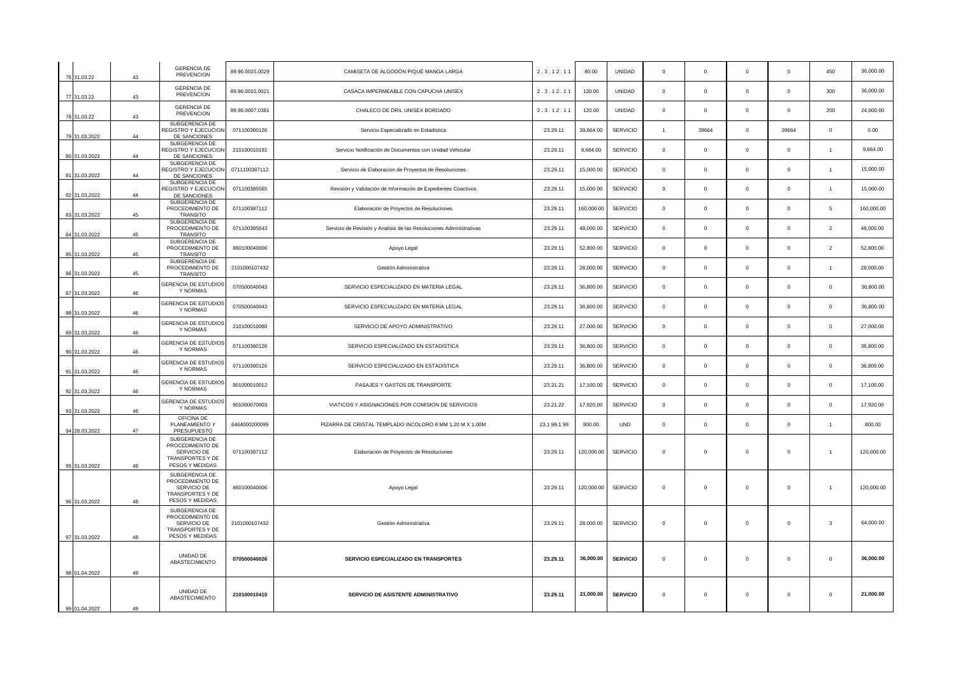| 76 31.03.22   | 43 | <b>GERENCIA DE</b><br>PREVENCION                                                         | 89.96.0015.0029 | CAMISETA DE ALGODÓN PIQUÉ MANGA LARGA                               | 2.3.12.11    | 80.00      | UNIDAD          | $\mathbf 0$    | $\mathbf 0$  | $\mathbf 0$    | $\circ$      | 450                 | 36,000.00  |
|---------------|----|------------------------------------------------------------------------------------------|-----------------|---------------------------------------------------------------------|--------------|------------|-----------------|----------------|--------------|----------------|--------------|---------------------|------------|
| 77 31.03.22   | 43 | <b>GERENCIA DE</b><br><b>PREVENCION</b>                                                  | 89.96.0015.0021 | CASACA IMPERMEABLE CON CAPUCHA UNISEX                               | 2.3.12.11    | 120.00     | <b>UNIDAD</b>   | $\,0\,$        | $\mathbf 0$  | $^{\circ}$     | $\mathbf 0$  | 300                 | 36,000.00  |
| 78 31.03.22   | 43 | <b>GERENCIA DE</b><br>PREVENCION                                                         | 89.96.0007.0381 | CHALECO DE DRIL UNISEX BORDADO                                      | 2.3.12.11    | 120.00     | UNIDAD          | $\mathsf 0$    | $\mathbf 0$  | $\mathbf 0$    | $\mathbf 0$  | 200                 | 24,000.00  |
| 79 31.03.2022 | 44 | SUBGERENCIA DE<br>REGISTRO Y EJECUCION<br>DE SANCIONES                                   | 071100380126    | Servicio Especializado en Estadística                               | 23.29.11     | 39,664.00  | <b>SERVICIO</b> | $\overline{1}$ | 39664        | $\mathsf 0$    | 39664        | $\mathsf{O}\xspace$ | 0.00       |
| 80 31.03.2022 | 44 | SUBGERENCIA DE<br>REGISTRO Y EJECUCION<br>DE SANCIONES                                   | 210100010192    | Servicio Notificación de Documentos con Unidad Vehicular            | 23.29.11     | 9,664.00   | <b>SERVICIO</b> | $\mathsf 0$    | $\circ$      | $\Omega$       | $\Omega$     | $\overline{1}$      | 9,664.00   |
| 81 31.03.2022 | 44 | SUBGERENCIA DE<br>EGISTRO Y EJECUCION<br>DE SANCIONES                                    | 0711100387112   | Servicio de Elaboracion de Proyectos de Resoluciones                | 23.29.11     | 15,000.00  | SERVICIO        | $\mathbf 0$    | $\mathbf 0$  | $\mathbf 0$    | $\mathbf 0$  | $\overline{1}$      | 15,000.00  |
| 82 31.03.2022 | 44 | SUBGERENCIA DE<br><b>EGISTRO Y EJECUCION</b><br>DE SANCIONES                             | 071100385565    | Revisión y Validación de Información de Expedientes Coactivos       | 23.29.11     | 15,000.00  | SERVICIO        | $\,0\,$        | $\mathsf 0$  | $^{\circ}$     | $\mathbf 0$  | $\overline{1}$      | 15,000.00  |
| 83 31.03.2022 | 45 | SUBGERENCIA DE<br>PROCEDIMIENTO DE<br><b>TRANSITO</b>                                    | 071100387112    | Elaboración de Proyectos de Resoluciones                            | 23.29.11     | 160,000.00 | <b>SERVICIO</b> | $\mathbf 0$    | $\mathbf 0$  | $\overline{0}$ | $\mathbf 0$  | 5                   | 160,000.00 |
| 84 31.03.2022 | 45 | SUBGERENCIA DE<br>PROCEDIMIENTO DE<br>TRANSITO                                           | 071100385643    | Servicio de Revisión y Analisis de las Resoluciones Administrativas | 23.29.11     | 48,000.00  | SERVICIO        | $\,0\,$        | $\mathbf 0$  | $\mathsf 0$    | $\mathsf 0$  | $\overline{2}$      | 48,000.00  |
| 85 31.03.2022 | 45 | SUBGERENCIA DE<br>PROCEDIMIENTO DE<br><b>TRANSITO</b>                                    | 860100040006    | Apoyo Legal                                                         | 23.29.11     | 52,800.00  | <b>SERVICIO</b> | $\,0\,$        | $\mathsf 0$  | $\mathbf 0$    | $\mathbf 0$  | $\overline{2}$      | 52,800.00  |
| 86 31.03.2022 | 45 | SUBGERENCIA DE<br>PROCEDIMIENTO DE<br>TRANSITO                                           | 2101000107432   | Gestión Administrativa                                              | 23.29.11     | 28,000.00  | <b>SERVICIO</b> | $\mathbf 0$    | $\mathbf 0$  | $^{\circ}$     | $\mathbf 0$  | $\overline{1}$      | 28,000.00  |
| 87 31.03.2022 | 46 | <b>GERENCIA DE ESTUDIOS</b><br>Y NORMAS                                                  | 070500040043    | SERVICIO ESPECIALIZADO EN MATERIA LEGAL                             | 23.29.11     | 36,800.00  | <b>SERVICIO</b> | $\mathbf 0$    | $\mathbf 0$  | $\mathbf 0$    | $\mathbf 0$  | $\mathbf 0$         | 36,800.00  |
| 88 31.03.2022 | 46 | <b>GERENCIA DE ESTUDIOS</b><br>Y NORMAS                                                  | 070500040043    | SERVICIO ESPECIALIZADO EN MATERIA LEGAL                             | 23.29.11     | 36,800.00  | SERVICIO        | $\,0\,$        | $\mathsf 0$  | $\mathbf 0$    | $\mathbf 0$  | $\mathbf 0$         | 36,800.00  |
| 89 31.03.2022 | 46 | GERENCIA DE ESTUDIOS<br>Y NORMAS                                                         | 210100010080    | SERVICIO DE APOYO ADMINISTRATIVO                                    | 23.29.11     | 27,000.00  | <b>SERVICIO</b> | $\mathbf 0$    | $\mathbf 0$  | $\overline{0}$ | $\mathbf 0$  | $\mathbf 0$         | 27,000.00  |
| 90 31.03.2022 | 46 | <b>SERENCIA DE ESTUDIOS</b><br>Y NORMAS                                                  | 071100380126    | SERVICIO ESPECIALIZADO EN ESTADISTICA                               | 23.29.11     | 36,800.00  | SERVICIO        | $\,0\,$        | $\mathsf 0$  | $\mathsf 0$    | $\mathsf 0$  | $\mathsf 0$         | 36,800.00  |
| 91 31.03.2022 | 46 | SERENCIA DE ESTUDIOS<br>Y NORMAS                                                         | 071100380126    | SERVICIO ESPECIALIZADO EN ESTADISTICA                               | 23.29.11     | 36,800.00  | <b>SERVICIO</b> | $\mathsf 0$    | $\mathbf 0$  | $\Omega$       | $\Omega$     | $\circ$             | 36,800.00  |
| 92 31.03.2022 | 46 | <b>GERENCIA DE ESTUDIOS</b><br>Y NORMAS                                                  | 901000010012    | PASAJES Y GASTOS DE TRANSPORTE                                      | 23.21.21     | 17,100.00  | SERVICIO        | $\mathbf 0$    | $\mathbf 0$  | $\mathbf 0$    | $\mathbf 0$  | $\mathbf 0$         | 17,100.00  |
| 93 31.03.2022 | 46 | <b>GERENCIA DE ESTUDIOS</b><br>Y NORMAS                                                  | 901000070003    | VIATICOS Y ASIGNACIONES POR COMISION DE SERVICIOS                   | 23.21.22     | 17,920.00  | SERVICIO        | $\,0\,$        | $\mathbf 0$  | $^{\circ}$     | $\mathbf 0$  | $\mathsf 0$         | 17,920.00  |
| 94 28.03.2022 | 47 | OFICINA DE<br>PLANEAMIENTO Y<br>PRESUPUESTO                                              | 6464000200099   | PIZARRA DE CRISTAL TEMPLADO INCOLORO 8 MM 1.20 M X 1.00M            | 23.1 99.1 99 | 800.00     | <b>UND</b>      | $\mathbf 0$    | $\mathbf 0$  | $\mathbf 0$    | $\mathbf{0}$ | $\mathbf{1}$        | 800.00     |
| 95 31.03.2022 | 48 | SUBGERENCIA DE<br>PROCEDIMIENTO DE<br>SERVICIO DE<br>TRANSPORTES Y DE<br>PESOS Y MEDIDAS | 071100387112    | Elaboración de Proyectos de Resoluciones                            | 23.29.11     | 120,000.00 | <b>SERVICIO</b> | $\mathbf 0$    | $\mathbf 0$  | $\mathbf 0$    | $\mathbf 0$  | $\overline{1}$      | 120,000.00 |
| 96 31.03.2022 | 48 | SUBGERENCIA DE<br>PROCEDIMIENTO DE<br>SERVICIO DE<br>TRANSPORTES Y DE<br>PESOS Y MEDIDAS | 860100040006    | Apoyo Legal                                                         | 23.29.11     | 120,000.00 | <b>SERVICIO</b> | $\circ$        | $\mathbf{0}$ | $^{\circ}$     | $\mathbf 0$  | $\overline{1}$      | 120,000.00 |
| 97 31.03.2022 | 48 | SUBGERENCIA DE<br>PROCEDIMIENTO DE<br>SERVICIO DE<br>TRANSPORTES Y DE<br>PESOS Y MEDIDAS | 2101000107432   | Gestión Administrativa                                              | 23.29.11     | 28,000.00  | SERVICIO        | $\mathbf 0$    | $\mathbf{0}$ | $\mathsf 0$    | $\mathbf 0$  | $\mathbf{3}$        | 64,000.00  |
| 98 01.04.2022 | 49 | UNIDAD DE<br>ABASTECIMIENTO                                                              | 070500040026    | SERVICIO ESPECIALIZADO EN TRANSPORTES                               | 23.29.11     | 36,000.00  | <b>SERVICIO</b> | $\mathbf 0$    | $\mathbf{0}$ | $\mathbf 0$    | $\mathbf 0$  | $\mathbf 0$         | 36,000.00  |
| 99 01.04.2022 | 49 | UNIDAD DE<br>ABASTECIMIENTO                                                              | 210100010410    | SERVICIO DE ASISTENTE ADMINISTRATIVO                                | 23.29.11     | 21,000.00  | <b>SERVICIO</b> | $\,0\,$        | $\mathbf 0$  | $\mathsf 0$    | $\mathbf 0$  | $\mathsf 0$         | 21,000.00  |